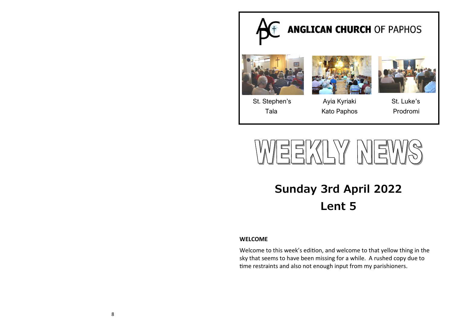



# **Sunday 3rd April 2022 Lent 5**

## **WELCOME**

Welcome to this week's edition, and welcome to that yellow thing in the sky that seems to have been missing for a while. A rushed copy due to time restraints and also not enough input from my parishioners.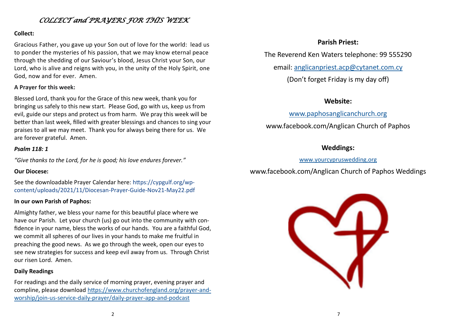# *COLLECT and PRAYERS FOR THIS WEEK*

## **Collect:**

Gracious Father, you gave up your Son out of love for the world: lead us to ponder the mysteries of his passion, that we may know eternal peace through the shedding of our Saviour's blood, Jesus Christ your Son, our Lord, who is alive and reigns with you, in the unity of the Holy Spirit, one God, now and for ever. Amen.

## **A Prayer for this week:**

Blessed Lord, thank you for the Grace of this new week, thank you for bringing us safely to this new start. Please God, go with us, keep us from evil, guide our steps and protect us from harm. We pray this week will be better than last week, filled with greater blessings and chances to sing your praises to all we may meet. Thank you for always being there for us. We are forever grateful. Amen.

### *Psalm 118: 1*

*"Give thanks to the Lord, for he is good; his love endures forever."*

## **Our Diocese:**

See the downloadable Prayer Calendar here: https://cypgulf.org/wpcontent/uploads/2021/11/Diocesan-Prayer-Guide-Nov21-May22.pdf

## **In our own Parish of Paphos:**

Almighty father, we bless your name for this beautiful place where we have our Parish. Let your church (us) go out into the community with confidence in your name, bless the works of our hands. You are a faithful God, we commit all spheres of our lives in your hands to make me fruitful in preaching the good news. As we go through the week, open our eyes to see new strategies for success and keep evil away from us. Through Christ our risen Lord. Amen.

# **Daily Readings**

For readings and the daily service of morning prayer, evening prayer and compline, please download [https://www.churchofengland.org/prayer](https://www.churchofengland.org/prayer-and-worship/join-us-service-daily-prayer/daily-prayer-app-and-podcast)-and[worship/join](https://www.churchofengland.org/prayer-and-worship/join-us-service-daily-prayer/daily-prayer-app-and-podcast)-us-service-daily-prayer/daily-prayer-app-and-podcast

# **Parish Priest:**

The Reverend Ken Waters telephone: 99 555290

email: [anglicanpriest.acp@cytanet.com.cy](mailto:anglicanpriest.acp@cytanet.com.cy)

(Don't forget Friday is my day off)

# **Website:**

# [www.paphosanglicanchurch.org](http://www.paphosanglicanchurch.org)

www.facebook.com/Anglican Church of Paphos

# **Weddings:**

## [www.yourcypruswedding.org](http://www.yourcypruswedding.org)

www.facebook.com/Anglican Church of Paphos Weddings

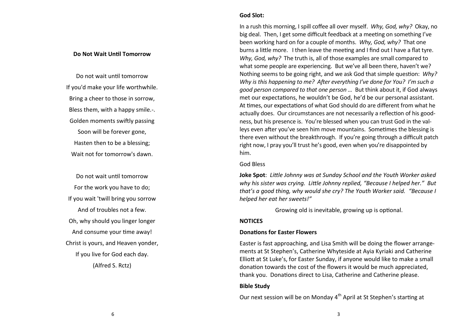#### **Do Not Wait Until Tomorrow**

Do not wait until tomorrow If you'd make your life worthwhile. Bring a cheer to those in sorrow, Bless them, with a happy smile.-. Golden moments swiftly passing Soon will be forever gone, Hasten then to be a blessing; Wait not for tomorrow's dawn.

Do not wait until tomorrow For the work you have to do; If you wait 'twill bring you sorrow And of troubles not a few. Oh, why should you linger longer And consume your time away! Christ is yours, and Heaven yonder, If you live for God each day. (Alfred S. Rctz)

#### **God Slot:**

In a rush this morning, I spill coffee all over myself. *Why, God, why?* Okay, no big deal. Then, I get some difficult feedback at a meeting on something I've been working hard on for a couple of months. *Why, God, why?* That one burns a little more. I then leave the meeting and I find out I have a flat tyre. *Why, God, why?* The truth is, all of those examples are small compared to what some people are experiencing. But we've all been there, haven't we? Nothing seems to be going right, and we ask God that simple question: *Why? Why is this happening to me? After everything I've done for You? I'm such a good person compared to that one person …* But think about it, if God always met our expectations, he wouldn't be God, he'd be our personal assistant. At times, our expectations of what God should do are different from what he actually does. Our circumstances are not necessarily a reflection of his goodness, but his presence is. You're blessed when you can trust God in the valleys even after you've seen him move mountains. Sometimes the blessing is there even without the breakthrough. If you're going through a difficult patch right now, I pray you'll trust he's good, even when you're disappointed by him.

God Bless

**Joke Spot**: *Little Johnny was at Sunday School and the Youth Worker asked why his sister was crying. Little Johnny replied, "Because I helped her." But that's a good thing, why would she cry? The Youth Worker said. "Because I helped her eat her sweets!"*

Growing old is inevitable, growing up is optional.

#### **NOTICES**

#### **Donations for Easter Flowers**

Easter is fast approaching, and Lisa Smith will be doing the flower arrangements at St Stephen's, Catherine Whyteside at Ayia Kyriaki and Catherine Elliott at St Luke's, for Easter Sunday, if anyone would like to make a small donation towards the cost of the flowers it would be much appreciated, thank you. Donations direct to Lisa, Catherine and Catherine please.

#### **Bible Study**

Our next session will be on Monday 4<sup>th</sup> April at St Stephen's starting at